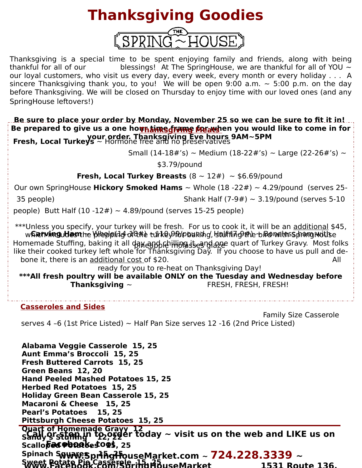## **Thanksgiving Goodies**



Thanksgiving is a special time to be spent enjoying family and friends, along with being thankful for all of our blessings! At The SpringHouse, we are thankful for all of YOU  $\sim$ our loyal customers, who visit us every day, every week, every month or every holiday . . . A sincere Thanksgiving thank you, to you! We will be open 9:00 a.m.  $\sim$  5:00 p.m. on the day before Thanksgiving. We will be closed on Thursday to enjoy time with our loved ones (and any SpringHouse leftovers!)

**Be sure to place your order by Monday, November 25 so we can be sure to fit it in!**  Be prepared to give us a one ho<mark>għäi\R§ɗrame for</mark>athen you would like to come in for **your order. Thanksgiving Eve hours 9AM~5PM Fresh, Local Turkeys** ~ Hormone free and no preservatives

Small (14-18#'s) ~ Medium (18-22#'s) ~ Large (22-26#'s) ~

\$3.79/pound

**Fresh, Local Turkey Breasts**  $(8 \sim 12\#) \sim $6.69$ /pound

Our own SpringHouse **Hickory Smoked Hams** ~ Whole (18 -22#) ~ 4.29/pound (serves 25-

 $35$  people) Shank Half  $(7-9#) \sim 3.19$ /pound (serves 5-10

people) Butt Half  $(10 -12\#) \sim 4.89$ /pound (serves 15-25 people)

\*\*\*Unless you specify, your turkey will be fresh. For us to cook it, it will be an additional \$45, w**Garving Uesn**tre Wieplping of the turkey for buring, buiffing the biro waters prang mottse

Homemade Stuffing, baking it all фາหຼอງຖຸງ (en lihong is eanglaye quart of Turkey Gravy. Most folks like their cooked turkey left whole for Thanksgiving Day. If you choose to have us pull and debone it, there is an additional cost of \$20. All and the same state of the same state of  $\mathsf{All}$ 

ready for you to re-heat on Thanksgiving Day!

**\*\*\*All fresh poultry will be available ONLY on the Tuesday and Wednesday before Thanksgiving ~ FRESH, FRESH, FRESH!** 

## **Casseroles and Sides**

 Family Size Casserole serves 4 -6 (1st Price Listed)  $\sim$  Half Pan Size serves 12 -16 (2nd Price Listed)

**Alabama Veggie Casserole 15, 25 Aunt Emma's Broccoli 15, 25 Fresh Buttered Carrots 15, 25 Green Beans 12, 20 Hand Peeled Mashed Potatoes 15, 25 Herbed Red Potatoes 15, 25 Holiday Green Bean Casserole 15, 25 Macaroni & Cheese 15, 25 Pearl's Potatoes 15, 25 Pittsburgh Cheese Potatoes 15, 25 Quart of Homemade Gravy 12**   $\widetilde{\mathsf{S}}$  all or stam in to order today  $\sim$  visit us on the web and LIKE us on **Scalloped Potatoes 4005, 25 Spinach Squares 15, 25 www.SpringHouseMarket.com ~ 724.228.3339 ~ Sweet Potato Pie Casserole 15, 25 www.Facebook.com/SpringHouseMarket 1531 Route 136,**